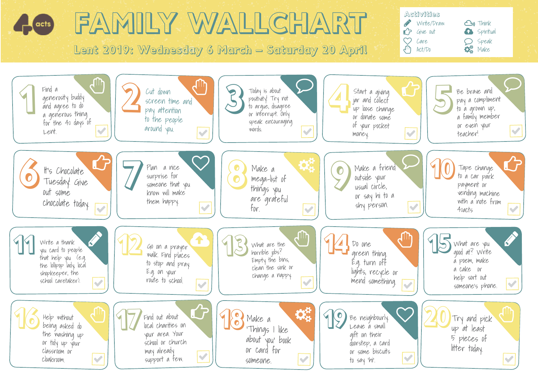## Activities FAMILY WALLCHART Write/Draw **Cu** Think acts **P** Give out G Spiritual  $\heartsuit$  $C$ are  $O$  Speak  $\bigcirc$ Lent 2019: Wednesday 6 March – Saturday 20 April  $\mathbf{Q}_{\mathbf{B}}^{\mathbf{B}}$  Make  $\sqrt{m}$  Act/Do  $\overline{\mathcal{D}}$  $\overline{\mathcal{D}}$  $\bigoplus$  of  $\bigotimes$  cut down  $\bigoplus$ 2 4 1Find a 3 Start a giving<br>and agree to do<br>a generosity buddy<br>and agree to do<br>a generous thing<br>a generous thing Cut down Today is about Start a giving Be brave and generosity buddy positivity! Try not pay a compliment jar and collect screen time and and agree to do to argue, disagree up loose change to a grown up, pay attention or interrupt. Only a generous thing a family member or donate some to the people for the 40 days of speak encouraging of your pocket or even your around you. words. Lent.  $\mathcal{L}$ V teacher! money.  $\overline{\mathcal{D}}$  $\mathbf{C}$  $\bigcirc$  $\mathbf{C}$ S the Chocolate 1998 Plan a nice<br>
S Tuesday! Give Surprise for surprise for surprise for surprise for the power of the power of the contract of the power of the contract of the power of the contract of the power of the con  $\boldsymbol{\mathcal{G}}_{k}^{n}$ 8 7 9 Make a friend Plan a nice Make a Tape change It's Chocolate surprise for to a car park outside your mega-list of